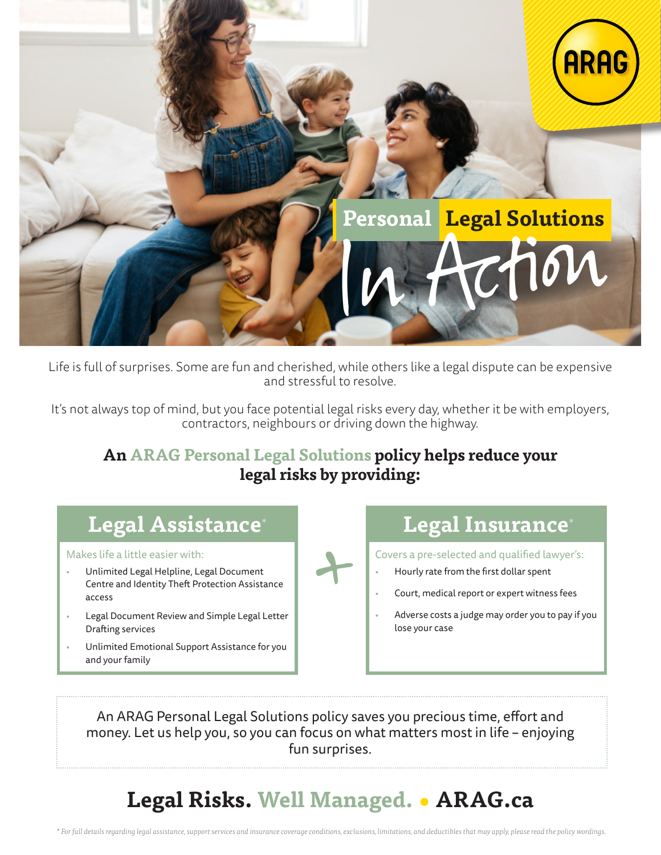

Life is full of surprises. Some are fun and cherished, while others like a legal dispute can be expensive and stressful to resolve.

It's not always top of mind, but you face potential legal risks every day, whether it be with employers, contractors, neighbours or driving down the highway.

#### **An ARAG Personal Legal Solutions policy helps reduce your legal risks by providing:**

# **Legal Assistance**\* **Legal Insurance**\*

Makes life a little easier with:

- Unlimited Legal Helpline, Legal Document Centre and Identity Theft Protection Assistance access
- Legal Document Review and Simple Legal Letter Drafting services
- Unlimited Emotional Support Assistance for you and your family

+

• Hourly rate from the first dollar spent • Court, medical report or expert witness fees

Covers a pre-selected and qualified lawyer's:

• Adverse costs a judge may order you to pay if you lose your case

An ARAG Personal Legal Solutions policy saves you precious time, effort and money. Let us help you, so you can focus on what matters most in life – enjoying fun surprises.

# **Legal Risks. Well Managed. • ARAG.ca**